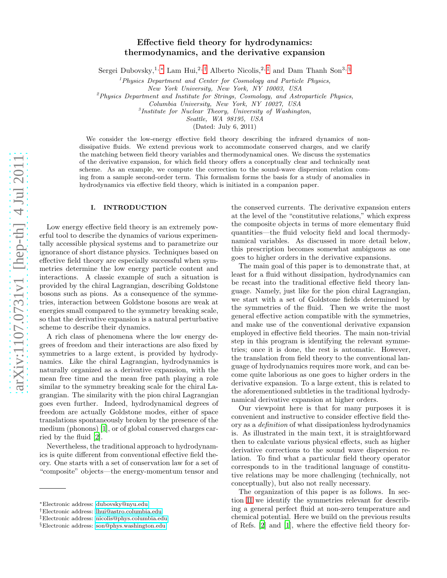# Effective field theory for hydrodynamics: thermodynamics, and the derivative expansion

Sergei Dubovsky,<sup>1,[∗](#page-0-0)</sup> Lam Hui,<sup>2,[†](#page-0-1)</sup> Alberto Nicolis,<sup>2,[‡](#page-0-2)</sup> and Dam Thanh Son<sup>3, [§](#page-0-3)</sup>

 $<sup>1</sup> Physics Department and Center for Cosmology and Particle Physics,$ </sup>

New York University, New York, NY 10003, USA

 ${}^{2}P$ hysics Department and Institute for Strings, Cosmology, and Astroparticle Physics,

Columbia University, New York, NY 10027, USA

3 Institute for Nuclear Theory, University of Washington,

Seattle, WA 98195, USA

(Dated: July 6, 2011)

We consider the low-energy effective field theory describing the infrared dynamics of nondissipative fluids. We extend previous work to accommodate conserved charges, and we clarify the matching between field theory variables and thermodynamical ones. We discuss the systematics of the derivative expansion, for which field theory offers a conceptually clear and technically neat scheme. As an example, we compute the correction to the sound-wave dispersion relation coming from a sample second-order term. This formalism forms the basis for a study of anomalies in hydrodynamics via effective field theory, which is initiated in a companion paper.

#### I. INTRODUCTION

Low energy effective field theory is an extremely powerful tool to describe the dynamics of various experimentally accessible physical systems and to parametrize our ignorance of short distance physics. Techniques based on effective field theory are especially successful when symmetries determine the low energy particle content and interactions. A classic example of such a situation is provided by the chiral Lagrangian, describing Goldstone bosons such as pions. As a consequence of the symmetries, interaction between Goldstone bosons are weak at energies small compared to the symmetry breaking scale, so that the derivative expansion is a natural perturbative scheme to describe their dynamics.

A rich class of phenomena where the low energy degrees of freedom and their interactions are also fixed by symmetries to a large extent, is provided by hydrodynamics. Like the chiral Lagrangian, hydrodynamics is naturally organized as a derivative expansion, with the mean free time and the mean free path playing a role similar to the symmetry breaking scale for the chiral Lagrangian. The similarity with the pion chiral Lagrangian goes even further. Indeed, hydrodynamical degrees of freedom are actually Goldstone modes, either of space translations spontaneously broken by the presence of the medium (phonons) [\[1](#page-9-0)], or of global conserved charges carried by the fluid [\[2](#page-9-1)].

Nevertheless, the traditional approach to hydrodynamics is quite different from conventional effective field theory. One starts with a set of conservation law for a set of "composite" objects—the energy-momentum tensor and

the conserved currents. The derivative expansion enters at the level of the "constitutive relations," which express the composite objects in terms of more elementary fluid quantities—the fluid velocity field and local thermodynamical variables. As discussed in more detail below, this prescription becomes somewhat ambiguous as one goes to higher orders in the derivative expansions.

The main goal of this paper is to demonstrate that, at least for a fluid without dissipation, hydrodynamics can be recast into the traditional effective field theory language. Namely, just like for the pion chiral Lagrangian, we start with a set of Goldstone fields determined by the symmetries of the fluid. Then we write the most general effective action compatible with the symmetries, and make use of the conventional derivative expansion employed in effective field theories. The main non-trivial step in this program is identifying the relevant symmetries; once it is done, the rest is automatic. However, the translation from field theory to the conventional language of hydrodynamics requires more work, and can become quite laborious as one goes to higher orders in the derivative expansion. To a large extent, this is related to the aforementioned subtleties in the traditional hydrodynamical derivative expansion at higher orders.

Our viewpoint here is that for many purposes it is convenient and instructive to consider effective field theory as a definition of what dissipationless hydrodynamics is. As illustrated in the main text, it is straightforward then to calculate various physical effects, such as higher derivative corrections to the sound wave dispersion relation. To find what a particular field theory operator corresponds to in the traditional language of constitutive relations may be more challenging (technically, not conceptually), but also not really necessary.

The organization of this paper is as follows. In section [II](#page-1-0) we identify the symmetries relevant for describing a general perfect fluid at non-zero temperature and chemical potential. Here we build on the previous results of Refs. [\[2](#page-9-1)] and [\[1\]](#page-9-0), where the effective field theory for-

<span id="page-0-0"></span><sup>∗</sup>Electronic address: [dubovsky@nyu.edu](mailto:dubovsky@nyu.edu)

<span id="page-0-1"></span><sup>†</sup>Electronic address: [lhui@astro.columbia.edu](mailto:lhui@astro.columbia.edu)

<span id="page-0-2"></span><sup>‡</sup>Electronic address: [nicolis@phys.columbia.edu](mailto:nicolis@phys.columbia.edu)

<span id="page-0-3"></span><sup>§</sup>Electronic address: [son@phys.washington.edu](mailto:son@phys.washington.edu)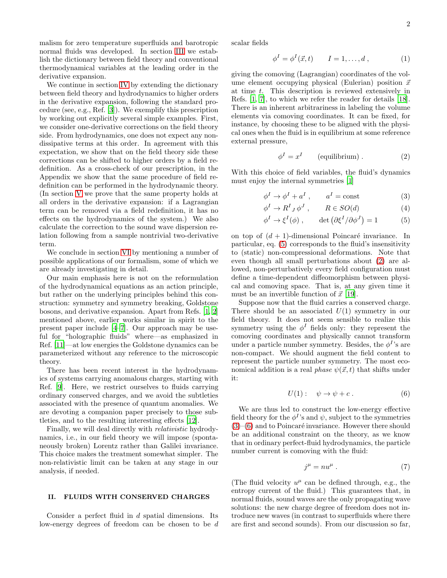malism for zero temperature superfluids and barotropic normal fluids was developed. In section [III](#page-3-0) we establish the dictionary between field theory and conventional thermodynamical variables at the leading order in the derivative expansion.

We continue in section [IV](#page-4-0) by extending the dictionary between field theory and hydrodynamics to higher orders in the derivative expansion, following the standard procedure (see, e.g., Ref. [\[3\]](#page-9-2)). We exemplify this prescription by working out explicitly several simple examples. First, we consider one-derivative corrections on the field theory side. From hydrodynamics, one does not expect any nondissipative terms at this order. In agreement with this expectation, we show that on the field theory side these corrections can be shifted to higher orders by a field redefinition. As a cross-check of our prescription, in the Appendix we show that the same procedure of field redefinition can be performed in the hydrodynamic theory. (In section [V](#page-6-0) we prove that the same property holds at all orders in the derivative expansion: if a Lagrangian term can be removed via a field redefinition, it has no effects on the hydrodynamics of the system.) We also calculate the correction to the sound wave dispersion relation following from a sample nontrivial two-derivative term.

We conclude in section [VI](#page-8-0) by mentioning a number of possible applications of our formalism, some of which we are already investigating in detail.

Our main emphasis here is not on the reformulation of the hydrodynamical equations as an action principle, but rather on the underlying principles behind this construction: symmetry and symmetry breaking, Goldstone bosons, and derivative expansion. Apart from Refs. [\[1,](#page-9-0) [2](#page-9-1)] mentioned above, earlier works similar in spirit to the present paper include [\[4](#page-9-3)[–7](#page-9-4)]. Our approach may be useful for "holographic fluids" where—as emphasized in Ref. [\[11\]](#page-9-5)—at low energies the Goldstone dynamics can be parameterized without any reference to the microscopic theory.

There has been recent interest in the hydrodynamics of systems carrying anomalous charges, starting with Ref. [\[9\]](#page-9-6). Here, we restrict ourselves to fluids carrying ordinary conserved charges, and we avoid the subtleties associated with the presence of quantum anomalies. We are devoting a companion paper precisely to those subtleties, and to the resulting interesting effects [\[12\]](#page-9-7).

Finally, we will deal directly with relativistic hydrodynamics, i.e., in our field theory we will impose (spontaneously broken) Lorentz rather than Galilei invariance. This choice makes the treatment somewhat simpler. The non-relativistic limit can be taken at any stage in our analysis, if needed.

### <span id="page-1-0"></span>II. FLUIDS WITH CONSERVED CHARGES

Consider a perfect fluid in d spatial dimensions. Its low-energy degrees of freedom can be chosen to be d scalar fields

$$
\phi^I = \phi^I(\vec{x}, t) \qquad I = 1, \dots, d \,, \tag{1}
$$

giving the comoving (Lagrangian) coordinates of the volume element occupying physical (Eulerian) position  $\vec{x}$ at time t. This description is reviewed extensively in Refs. [\[1,](#page-9-0) [7\]](#page-9-4), to which we refer the reader for details [\[18\]](#page-9-8). There is an inherent arbitrariness in labeling the volume elements via comoving coordinates. It can be fixed, for instance, by choosing these to be aligned with the physical ones when the fluid is in equilibrium at some reference external pressure,

<span id="page-1-6"></span><span id="page-1-3"></span><span id="page-1-2"></span>
$$
\phi^I = x^I \qquad \text{(equilibrium)}\,. \tag{2}
$$

With this choice of field variables, the fluid's dynamics must enjoy the internal symmetries [\[1](#page-9-0)]

$$
\phi^I \to \phi^I + a^I \,, \qquad a^I = \text{const} \tag{3}
$$

$$
\phi^I \to R^I{}_J \phi^J \,, \qquad R \in SO(d) \tag{4}
$$

<span id="page-1-1"></span>
$$
\phi^I \to \xi^I(\phi) , \qquad \det \left( \partial \xi^I / \partial \phi^J \right) = 1 \tag{5}
$$

on top of  $(d + 1)$ -dimensional Poincaré invariance. In particular, eq. [\(5\)](#page-1-1) corresponds to the fluid's insensitivity to (static) non-compressional deformations. Note that even though all small perturbations about [\(2\)](#page-1-2) are allowed, non-perturbatively every field configuration must define a time-dependent diffeomorphism between physical and comoving space. That is, at any given time it must be an invertible function of  $\vec{x}$  [\[19](#page-9-9)].

Suppose now that the fluid carries a conserved charge. There should be an associated  $U(1)$  symmetry in our field theory. It does not seem sensible to realize this symmetry using the  $\phi^I$  fields only: they represent the comoving coordinates and physically cannot transform under a particle number symmetry. Besides, the  $\phi^I$ 's are non-compact. We should augment the field content to represent the particle number symmetry. The most economical addition is a real *phase*  $\psi(\vec{x}, t)$  that shifts under it:

<span id="page-1-4"></span>
$$
U(1): \quad \psi \to \psi + c \ . \tag{6}
$$

We are thus led to construct the low-energy effective field theory for the  $\phi^I$ 's and  $\psi$ , subject to the symmetries  $(3)$ – $(6)$  and to Poincaré invariance. However there should be an additional constraint on the theory, as we know that in ordinary perfect-fluid hydrodynamics, the particle number current is comoving with the fluid:

<span id="page-1-5"></span>
$$
j^{\mu} = nu^{\mu} . \tag{7}
$$

(The fluid velocity  $u^{\mu}$  can be defined through, e.g., the entropy current of the fluid.) This guarantees that, in normal fluids, sound waves are the only propagating wave solutions: the new charge degree of freedom does not introduce new waves (in contrast to superfluids where there are first and second sounds). From our discussion so far,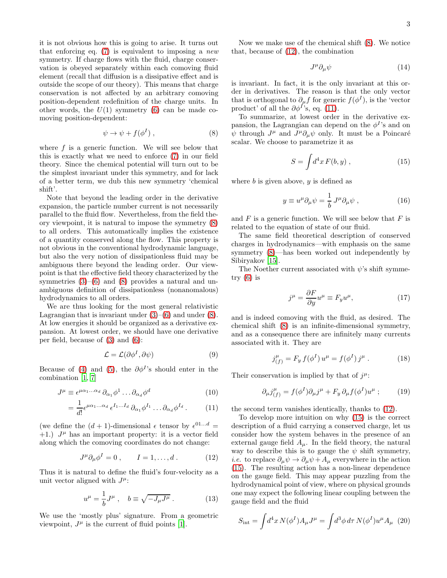it is not obvious how this is going to arise. It turns out that enforcing eq.  $(7)$  is equivalent to imposing a *new* symmetry. If charge flows with the fluid, charge conservation is obeyed separately within each comoving fluid element (recall that diffusion is a dissipative effect and is outside the scope of our theory). This means that charge conservation is not affected by an arbitrary comoving position-dependent redefinition of the charge units. In other words, the  $U(1)$  symmetry [\(6\)](#page-1-4) can be made comoving position-dependent:

<span id="page-2-0"></span>
$$
\psi \to \psi + f(\phi^I) \;, \tag{8}
$$

where  $f$  is a generic function. We will see below that this is exactly what we need to enforce [\(7\)](#page-1-5) in our field theory. Since the chemical potential will turn out to be the simplest invariant under this symmetry, and for lack of a better term, we dub this new symmetry 'chemical shift'.

Note that beyond the leading order in the derivative expansion, the particle number current is not necessarily parallel to the fluid flow. Nevertheless, from the field theory viewpoint, it is natural to impose the symmetry [\(8\)](#page-2-0) to all orders. This automatically implies the existence of a quantity conserved along the flow. This property is not obvious in the conventional hydrodynamic language, but also the very notion of dissipationless fluid may be ambiguous there beyond the leading order. Our viewpoint is that the effective field theory characterized by the symmetries  $(3)$ – $(6)$  and  $(8)$  provides a natural and unambiguous definition of dissipationless (nonanomalous) hydrodynamics to all orders.

We are thus looking for the most general relativistic Lagrangian that is invariant under  $(3)$ – $(6)$  and under  $(8)$ . At low energies it should be organized as a derivative expansion. At lowest order, we should have one derivative per field, because of [\(3\)](#page-1-3) and [\(6\)](#page-1-4):

$$
\mathcal{L} = \mathcal{L}(\partial \phi^I, \partial \psi) \tag{9}
$$

Because of [\(4\)](#page-1-6) and [\(5\)](#page-1-1), the  $\partial \phi^I$ 's should enter in the combination [\[1,](#page-9-0) [7\]](#page-9-4)

$$
J^{\mu} \equiv \epsilon^{\mu\alpha_1...\alpha_d} \partial_{\alpha_1} \phi^1 \dots \partial_{\alpha_d} \phi^d \tag{10}
$$

$$
= \frac{1}{d!} \epsilon^{\mu \alpha_1 \dots \alpha_d} \epsilon^{I_1 \dots I_d} \partial_{\alpha_1} \phi^{I_1} \dots \partial_{\alpha_d} \phi^{I_d} . \tag{11}
$$

(we define the  $(d + 1)$ -dimensional  $\epsilon$  tensor by  $\epsilon^{01...d}$  =  $+1$ .)  $J^{\mu}$  has an important property: it is a vector field along which the comoving coordinates do not change:

<span id="page-2-1"></span>
$$
J^{\mu}\partial_{\mu}\phi^{I} = 0 , \qquad I = 1, ..., d . \qquad (12)
$$

Thus it is natural to define the fluid's four-velocity as a unit vector aligned with  $J^{\mu}$ :

<span id="page-2-5"></span>
$$
u^{\mu} = \frac{1}{b}J^{\mu} , \quad b \equiv \sqrt{-J_{\mu}J^{\mu}} . \tag{13}
$$

We use the 'mostly plus' signature. From a geometric viewpoint,  $J^{\mu}$  is the current of fluid points [\[1](#page-9-0)].

Now we make use of the chemical shift [\(8\)](#page-2-0). We notice that, because of [\(12\)](#page-2-1), the combination

$$
J^{\mu}\partial_{\mu}\psi\tag{14}
$$

is invariant. In fact, it is the only invariant at this order in derivatives. The reason is that the only vector that is orthogonal to  $\partial_{\mu} f$  for generic  $f(\phi^I)$ , is the 'vector product' of all the  $\partial \phi^{I}$ 's, eq. [\(11\)](#page-2-2).

To summarize, at lowest order in the derivative expansion, the Lagrangian can depend on the  $\phi^I$ 's and on  $\psi$  through  $J^{\mu}$  and  $J^{\mu}\partial_{\mu}\psi$  only. It must be a Poincaré scalar. We choose to parametrize it as

<span id="page-2-3"></span>
$$
S = \int d^4x F(b, y) , \qquad (15)
$$

where  $b$  is given above,  $y$  is defined as

$$
y \equiv u^{\mu} \partial_{\mu} \psi = \frac{1}{b} J^{\mu} \partial_{\mu} \psi , \qquad (16)
$$

and  $F$  is a generic function. We will see below that  $F$  is related to the equation of state of our fluid.

The same field theoretical description of conserved charges in hydrodynamics—with emphasis on the same symmetry [\(8\)](#page-2-0)—has been worked out independently by Sibiryakov [\[15\]](#page-9-10).

The Noether current associated with  $\psi$ 's shift symmetry [\(6\)](#page-1-4) is

<span id="page-2-4"></span>
$$
j^{\mu} = \frac{\partial F}{\partial y} u^{\mu} \equiv F_y u^{\mu}, \qquad (17)
$$

and is indeed comoving with the fluid, as desired. The chemical shift [\(8\)](#page-2-0) is an infinite-dimensional symmetry, and as a consequence there are infinitely many currents associated with it. They are

$$
j_{(f)}^{\mu} = F_y f(\phi^I) u^{\mu} = f(\phi^I) j^{\mu} . \qquad (18)
$$

Their conservation is implied by that of  $j^{\mu}$ :

$$
\partial_{\mu}j_{(f)}^{\mu} = f(\phi^I)\partial_{\mu}j^{\mu} + F_y \partial_{\mu}f(\phi^I)u^{\mu} ; \qquad (19)
$$

<span id="page-2-2"></span>the second term vanishes identically, thanks to [\(12\)](#page-2-1).

To develop more intuition on why [\(15\)](#page-2-3) is the correct description of a fluid carrying a conserved charge, let us consider how the system behaves in the presence of an external gauge field  $A_{\mu}$ . In the field theory, the natural way to describe this is to gauge the  $\psi$  shift symmetry, *i.e.* to replace  $\partial_{\mu}\psi \rightarrow \partial_{\mu}\psi + A_{\mu}$  everywhere in the action [\(15\)](#page-2-3). The resulting action has a non-linear dependence on the gauge field. This may appear puzzling from the hydrodynamical point of view, where on physical grounds one may expect the following linear coupling between the gauge field and the fluid

$$
S_{\rm int} = \int d^4x \, N(\phi^I) A_\mu J^\mu = \int d^3\phi \, d\tau \, N(\phi^I) u^\mu A_\mu \tag{20}
$$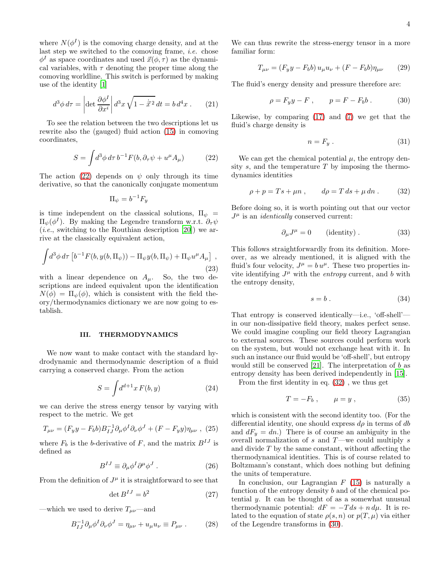where  $N(\phi^I)$  is the comoving charge density, and at the last step we switched to the comoving frame, *i.e.* chose  $\phi^I$  as space coordinates and used  $\vec{x}(\phi, \tau)$  as the dynamical variables, with  $\tau$  denoting the proper time along the comoving worldline. This switch is performed by making use of the identity [\[1](#page-9-0)]

$$
d^3\phi \, d\tau = \left| \det \frac{\partial \phi^I}{\partial x^i} \right| d^3x \sqrt{1 - \dot{\vec{x}}^2} \, dt = b \, d^4x \,. \tag{21}
$$

To see the relation between the two descriptions let us rewrite also the (gauged) fluid action [\(15\)](#page-2-3) in comoving coordinates,

<span id="page-3-1"></span>
$$
S = \int d^3\phi \, d\tau \, b^{-1} F(b, \partial_\tau \psi + u^\mu A_\mu) \tag{22}
$$

The action [\(22\)](#page-3-1) depends on  $\psi$  only through its time derivative, so that the canonically conjugate momentum

$$
\Pi_{\psi} = b^{-1} F_y
$$

is time independent on the classical solutions,  $\Pi_{\psi}$  =  $\Pi_{\psi}(\phi^{I})$ . By making the Legendre transform w.r.t.  $\partial_{\tau}\psi$ (*i.e.*, switching to the Routhian description [\[20](#page-9-11)]) we arrive at the classically equivalent action,

$$
\int d^3 \phi \, d\tau \left[ b^{-1} F(b, y(b, \Pi_\psi)) - \Pi_\psi y(b, \Pi_\psi) + \Pi_\psi u^\mu A_\mu \right],
$$
\n(23)

with a linear dependence on  $A_\mu$ . So, the two descriptions are indeed equivalent upon the identification  $N(\phi) = \Pi_{\psi}(\phi)$ , which is consistent with the field theory/thermodynamics dictionary we are now going to establish.

#### <span id="page-3-0"></span>III. THERMODYNAMICS

We now want to make contact with the standard hydrodynamic and thermodynamic description of a fluid carrying a conserved charge. From the action

$$
S = \int d^{d+1}x F(b, y) \tag{24}
$$

we can derive the stress energy tensor by varying with respect to the metric. We get

$$
T_{\mu\nu} = (F_y y - F_b b) B_{IJ}^{-1} \partial_\mu \phi^I \partial_\nu \phi^J + (F - F_y y) \eta_{\mu\nu} , (25)
$$

where  $F_b$  is the b-derivative of F, and the matrix  $B^{IJ}$  is defined as

$$
B^{IJ} \equiv \partial_{\mu} \phi^I \partial^{\mu} \phi^J . \qquad (26)
$$

From the definition of  $J^{\mu}$  it is straightforward to see that

$$
\det B^{IJ} = b^2 \tag{27}
$$

—which we used to derive  $T_{\mu\nu}$ —and

<span id="page-3-4"></span>
$$
B_{IJ}^{-1} \partial_{\mu} \phi^I \partial_{\nu} \phi^J = \eta_{\mu\nu} + u_{\mu} u_{\nu} \equiv P_{\mu\nu} . \qquad (28)
$$

We can thus rewrite the stress-energy tensor in a more familiar form:

$$
T_{\mu\nu} = (F_y y - F_b b) u_{\mu} u_{\nu} + (F - F_b b) \eta_{\mu\nu} \qquad (29)
$$

The fluid's energy density and pressure therefore are:

<span id="page-3-3"></span>
$$
\rho = F_y y - F , \qquad p = F - F_b b . \tag{30}
$$

Likewise, by comparing [\(17\)](#page-2-4) and [\(7\)](#page-1-5) we get that the fluid's charge density is

$$
n = F_y \tag{31}
$$

We can get the chemical potential  $\mu$ , the entropy density  $s$ , and the temperature  $T$  by imposing the thermodynamics identities

<span id="page-3-2"></span>
$$
\rho + p = Ts + \mu n , \qquad d\rho = T ds + \mu dn . \qquad (32)
$$

Before doing so, it is worth pointing out that our vector  $J^{\mu}$  is an *identically* conserved current:

$$
\partial_{\mu}J^{\mu} = 0 \qquad \text{(identity)} \,. \tag{33}
$$

This follows straightforwardly from its definition. Moreover, as we already mentioned, it is aligned with the fluid's four velocity,  $J^{\mu} = b u^{\mu}$ . These two properties invite identifying  $J^{\mu}$  with the *entropy* current, and b with the entropy density,

<span id="page-3-5"></span>
$$
s = b \tag{34}
$$

That entropy is conserved identically—i.e., 'off-shell' in our non-dissipative field theory, makes perfect sense. We could imagine coupling our field theory Lagrangian to external sources. These sources could perform work on the system, but would not exchange heat with it. In such an instance our fluid would be 'off-shell', but entropy would still be conserved [\[21](#page-9-12)]. The interpretation of  $b$  as entropy density has been derived independently in [\[15\]](#page-9-10).

From the first identity in eq. [\(32\)](#page-3-2) , we thus get

$$
T = -F_b , \qquad \mu = y , \qquad (35)
$$

which is consistent with the second identity too. (For the differential identity, one should express  $d\rho$  in terms of db and  $dF_y = dn$ .) There is of course an ambiguity in the overall normalization of  $s$  and  $T$ —we could multiply  $s$ and divide  $T$  by the same constant, without affecting the thermodynamical identities. This is of course related to Boltzmann's constant, which does nothing but defining the units of temperature.

In conclusion, our Lagrangian  $F(15)$  $F(15)$  is naturally a function of the entropy density b and of the chemical potential  $y$ . It can be thought of as a somewhat unusual thermodynamic potential:  $dF = -T ds + n d\mu$ . It is related to the equation of state  $\rho(s, n)$  or  $p(T, \mu)$  via either of the Legendre transforms in [\(30\)](#page-3-3).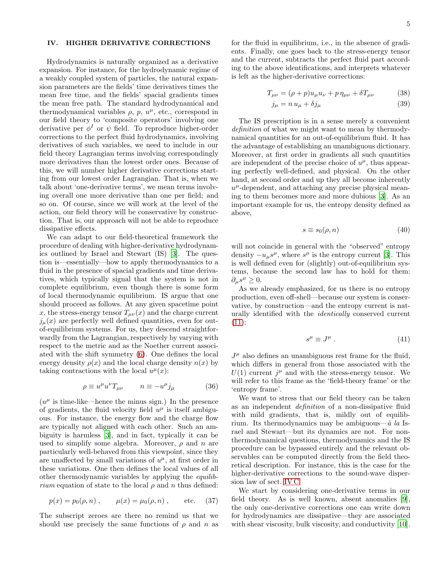# <span id="page-4-0"></span>IV. HIGHER DERIVATIVE CORRECTIONS

Hydrodynamics is naturally organized as a derivative expansion. For instance, for the hydrodynamic regime of a weakly coupled system of particles, the natural expansion parameters are the fields' time derivatives times the mean free time, and the fields' spacial gradients times the mean free path. The standard hydrodynamical and thermodynamical variables  $\rho$ ,  $p$ ,  $u^{\mu}$ , etc., correspond in our field theory to 'composite operators' involving one derivative per  $\phi^I$  or  $\psi$  field. To reproduce higher-order corrections to the perfect fluid hydrodynamics, involving derivatives of such variables, we need to include in our field theory Lagrangian terms involving correspondingly more derivatives than the lowest order ones. Because of this, we will number higher derivative corrections starting from our lowest order Lagrangian. That is, when we talk about 'one-derivative terms', we mean terms involving overall one more derivative than one per field; and so on. Of course, since we will work at the level of the action, our field theory will be conservative by construction. That is, our approach will not be able to reproduce dissipative effects.

We can adapt to our field-theoretical framework the procedure of dealing with higher-derivative hydrodynamics outlined by Israel and Stewart (IS) [\[3](#page-9-2)]. The question is—essentially—how to apply thermodynamics to a fluid in the presence of spacial gradients and time derivatives, which typically signal that the system is not in complete equilibrium, even though there is some form of local thermodynamic equilibrium. IS argue that one should proceed as follows. At any given spacetime point x, the stress-energy tensor  $T_{\mu\nu}(x)$  and the charge current  $j_{\mu}(x)$  are perfectly well defined quantities, even for outof-equilibrium systems. For us, they descend straightforwardly from the Lagrangian, respectively by varying with respect to the metric and as the Noether current associated with the shift symmetry [\(6\)](#page-1-4). One defines the local energy density  $\rho(x)$  and the local charge density  $n(x)$  by taking contractions with the local  $u^{\mu}(x)$ :

$$
\rho \equiv u^{\mu} u^{\nu} T_{\mu \nu} \qquad n \equiv -u^{\mu} j_{\mu} \qquad (36)
$$

 $(u^{\mu}$  is time-like—hence the minus sign.) In the presence of gradients, the fluid velocity field  $u^{\mu}$  is itself ambiguous. For instance, the energy flow and the charge flow are typically not aligned with each other. Such an ambiguity is harmless [\[3\]](#page-9-2), and in fact, typically it can be used to simplify some algebra. Moreover,  $\rho$  and n are particularly well-behaved from this viewpoint, since they are unaffected by small variations of  $u^{\mu}$ , at first order in these variations. One then defines the local values of all other thermodynamic variables by applying the equilib*rium* equation of state to the local  $\rho$  and n thus defined:

$$
p(x) = p_0(\rho, n)
$$
,  $\mu(x) = \mu_0(\rho, n)$ , etc. (37)

The subscript zeroes are there no remind us that we should use precisely the same functions of  $\rho$  and n as

for the fluid in equilibrium, i.e., in the absence of gradients. Finally, one goes back to the stress-energy tensor and the current, subtracts the perfect fluid part according to the above identifications, and interprets whatever is left as the higher-derivative corrections:

$$
T_{\mu\nu} = (\rho + p)u_{\mu}u_{\nu} + p\eta_{\mu\nu} + \delta T_{\mu\nu} \tag{38}
$$

$$
j_{\mu} = n u_{\mu} + \delta j_{\mu} \tag{39}
$$

The IS prescription is in a sense merely a convenient definition of what we might want to mean by thermodynamical quantities for an out-of-equilibrium fluid. It has the advantage of establishing an unambiguous dictionary. Moreover, at first order in gradients all such quantities are independent of the precise choice of  $u^{\mu}$ , thus appearing perfectly well-defined, and physical. On the other hand, at second order and up they all become inherently  $u^{\mu}$ -dependent, and attaching any precise physical meaning to them becomes more and more dubious [\[3](#page-9-2)]. As an important example for us, the entropy density defined as above,

$$
s \equiv s_0(\rho, n) \tag{40}
$$

will not coincide in general with the "observed" entropy density  $-u_{\mu}s^{\mu}$ , where  $s^{\mu}$  is the entropy current [\[3\]](#page-9-2). This is well defined even for (slightly) out-of-equilibrium systems, because the second law has to hold for them:  $\partial_{\mu}s^{\mu}\geq 0.$ 

As we already emphasized, for us there is no entropy production, even off-shell—because our system is conservative, by construction—and the entropy current is naturally identified with the identically conserved current  $(11):$  $(11):$ 

$$
s^{\mu} \equiv J^{\mu} \ . \tag{41}
$$

 $J^{\mu}$  also defines an unambiguous rest frame for the fluid, which differs in general from those associated with the  $U(1)$  current  $j^{\mu}$  and with the stress-energy tensor. We will refer to this frame as the 'field-theory frame' or the 'entropy frame'.

We want to stress that our field theory can be taken as an independent definition of a non-dissipative fluid with mild gradients, that is, mildly out of equilibrium. Its thermodynamics may be ambiguous— $\dot{a}$  la Israel and Stewart—but its dynamics are not. For nonthermodynamical questions, thermodynamics and the IS procedure can be bypassed entirely and the relevant observables can be computed directly from the field theoretical description. For instance, this is the case for the higher-derivative corrections to the sound-wave dispersion law of sect. [IV C.](#page-6-1)

We start by considering one-derivative terms in our field theory. As is well known, absent anomalies [\[9\]](#page-9-6), the only one-derivative corrections one can write down for hydrodynamics are dissipative—they are associated with shear viscosity, bulk viscosity, and conductivity [\[10\]](#page-9-13).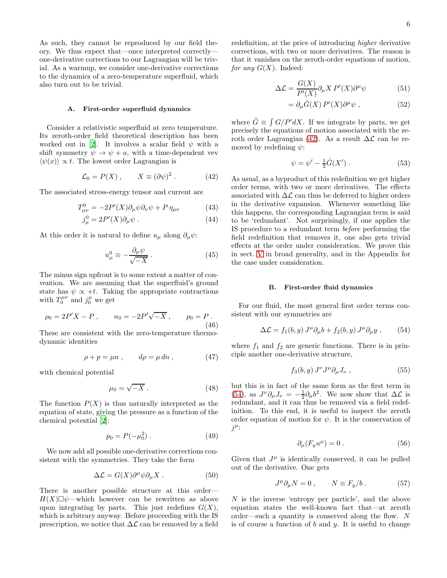As such, they cannot be reproduced by our field theory. We thus expect that—once interpreted correctly one-derivative corrections to our Lagrangian will be trivial. As a warmup, we consider one-derivative corrections to the dynamics of a zero-temperature superfluid, which also turn out to be trivial.

#### <span id="page-5-8"></span>A. First-order superfluid dynamics

Consider a relativistic superfluid at zero temperature. Its zeroth-order field theoretical description has been worked out in [\[2\]](#page-9-1). It involves a scalar field  $\psi$  with a shift symmetry  $\psi \to \psi + a$ , with a time-dependent vev  $\langle \psi(x) \rangle \propto t$ . The lowest order Lagrangian is

<span id="page-5-0"></span>
$$
\mathcal{L}_0 = P(X) , \qquad X \equiv (\partial \psi)^2 . \tag{42}
$$

The associated stress-energy tensor and current are

$$
T^{0}_{\mu\nu} = -2P'(X)\partial_{\mu}\psi\partial_{\nu}\psi + P\,\eta_{\mu\nu} \tag{43}
$$

$$
j^0_\mu = 2P'(X)\partial_\mu\psi . \tag{44}
$$

At this order it is natural to define  $u_{\mu}$  along  $\partial_{\mu}\psi$ :

$$
u_{\mu}^{0} \equiv -\frac{\partial_{\mu}\psi}{\sqrt{-X}}.
$$
 (45)

The minus sign upfront is to some extent a matter of convention. We are assuming that the superfluid's ground state has  $\psi \propto +t$ . Taking the appropriate contractions with  $T_0^{\mu\nu}$  and  $j_0^{\mu}$  we get

<span id="page-5-7"></span>
$$
\rho_0 = 2P'X - P \ , \qquad n_0 = -2P'\sqrt{-X} \ , \qquad p_0 = P \ . \tag{46}
$$

These are consistent with the zero-temperature thermodynamic identities

$$
\rho + p = \mu n \;, \qquad d\rho = \mu \, dn \;, \tag{47}
$$

with chemical potential

<span id="page-5-6"></span>
$$
\mu_0 = \sqrt{-X} \ . \tag{48}
$$

The function  $P(X)$  is thus naturally interpreted as the equation of state, giving the pressure as a function of the chemical potential [\[2\]](#page-9-1):

<span id="page-5-5"></span>
$$
p_0 = P(-\mu_0^2) \ . \tag{49}
$$

We now add all possible one-derivative corrections consistent with the symmetries. They take the form

<span id="page-5-3"></span>
$$
\Delta \mathcal{L} = G(X) \partial^{\mu} \psi \partial_{\mu} X . \qquad (50)
$$

There is another possible structure at this order—  $H(X) \Box \psi$ —which however can be rewritten as above upon integrating by parts. This just redefines  $G(X)$ , which is arbitrary anyway. Before proceeding with the IS prescription, we notice that  $\Delta \mathcal{L}$  can be removed by a field redefinition, at the price of introducing higher derivative corrections, with two or more derivatives. The reason is that it vanishes on the zeroth-order equations of motion, for any  $G(X)$ . Indeed:

$$
\Delta \mathcal{L} = \frac{G(X)}{P'(X)} \partial_{\mu} X P'(X) \partial^{\mu} \psi \tag{51}
$$

$$
= \partial_{\mu}\tilde{G}(X) P'(X)\partial^{\mu}\psi , \qquad (52)
$$

where  $\tilde{G} \equiv \int G/P' dX$ . If we integrate by parts, we get precisely the equations of motion associated with the ze-roth order Lagrangian [\(42\)](#page-5-0). As a result  $\Delta \mathcal{L}$  can be removed by redefining  $\psi$ :

<span id="page-5-4"></span>
$$
\psi = \psi' - \frac{1}{2}\tilde{G}(X') . \tag{53}
$$

As usual, as a byproduct of this redefinition we get higher order terms, with two or more derivatives. The effects associated with  $\Delta\mathcal{L}$  can thus be deferred to higher orders in the derivative expansion. Whenever something like this happens, the corresponding Lagrangian term is said to be 'redundant'. Not surprisingly, if one applies the IS procedure to a redundant term before performing the field redefinition that removes it, one also gets trivial effects at the order under consideration. We prove this in sect. [V](#page-6-0) in broad generality, and in the Appendix for the case under consideration.

#### <span id="page-5-9"></span>B. First-order fluid dynamics

For our fluid, the most general first order terms consistent with our symmetries are

<span id="page-5-1"></span>
$$
\Delta \mathcal{L} = f_1(b, y) J^{\mu} \partial_{\mu} b + f_2(b, y) J^{\mu} \partial_{\mu} y , \qquad (54)
$$

where  $f_1$  and  $f_2$  are generic functions. There is in principle another one-derivative structure,

$$
f_3(b, y) J^{\nu} J^{\mu} \partial_{\mu} J_{\nu} , \qquad (55)
$$

but this is in fact of the same form as the first term in [\(54\)](#page-5-1), as  $J^{\nu}\partial_{\mu}J_{\nu} = -\frac{1}{2}\partial_{\mu}b^2$ . We now show that  $\Delta\mathcal{L}$  is redundant, and it can thus be removed via a field redefinition. To this end, it is useful to inspect the zeroth order equation of motion for  $\psi$ . It is the conservation of  $j^{\mu}$ :

$$
\partial_{\mu}(F_y u^{\mu}) = 0.
$$
 (56)

Given that  $J^{\mu}$  is identically conserved, it can be pulled out of the derivative. One gets

<span id="page-5-2"></span>
$$
J^{\mu}\partial_{\mu}N = 0 , \qquad N \equiv F_y/b . \qquad (57)
$$

N is the inverse 'entropy per particle', and the above equation states the well-known fact that—at zeroth order—such a quantity is conserved along the flow. N is of course a function of  $b$  and  $y$ . It is useful to change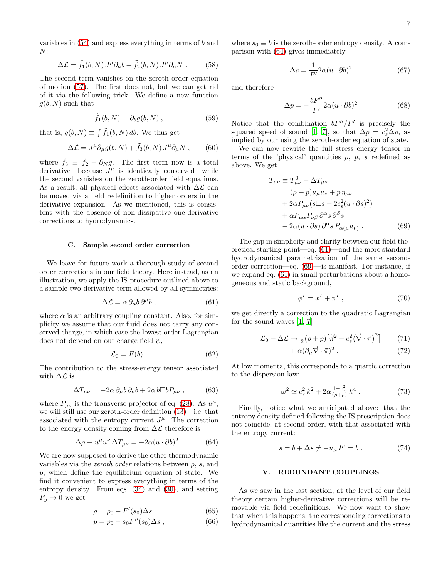variables in  $(54)$  and express everything in terms of b and  $N$ :

$$
\Delta \mathcal{L} = \tilde{f}_1(b, N) J^{\mu} \partial_{\mu} b + \tilde{f}_2(b, N) J^{\mu} \partial_{\mu} N . \qquad (58)
$$

The second term vanishes on the zeroth order equation of motion [\(57\)](#page-5-2). The first does not, but we can get rid of it via the following trick. We define a new function  $g(b, N)$  such that

$$
\tilde{f}_1(b, N) = \partial_b g(b, N) , \qquad (59)
$$

that is,  $g(b, N) \equiv \int \tilde{f}_1(b, N) db$ . We thus get

$$
\Delta \mathcal{L} = J^{\mu} \partial_{\mu} g(b, N) + \tilde{f}_3(b, N) J^{\mu} \partial_{\mu} N , \qquad (60)
$$

where  $\tilde{f}_3 \equiv \tilde{f}_2 - \partial_N g$ . The first term now is a total derivative—because  $J^{\mu}$  is identically conserved—while the second vanishes on the zeroth-order field equations. As a result, all physical effects associated with  $\Delta \mathcal{L}$  can be moved via a field redefinition to higher orders in the derivative expansion. As we mentioned, this is consistent with the absence of non-dissipative one-derivative corrections to hydrodynamics.

### <span id="page-6-1"></span>C. Sample second order correction

We leave for future work a thorough study of second order corrections in our field theory. Here instead, as an illustration, we apply the IS procedure outlined above to a sample two-derivative term allowed by all symmetries:

<span id="page-6-3"></span>
$$
\Delta \mathcal{L} = \alpha \, \partial_{\mu} b \, \partial^{\mu} b \,, \tag{61}
$$

where  $\alpha$  is an arbitrary coupling constant. Also, for simplicity we assume that our fluid does not carry any conserved charge, in which case the lowest order Lagrangian does not depend on our charge field  $\psi$ ,

$$
\mathcal{L}_0 = F(b) \,. \tag{62}
$$

The contribution to the stress-energy tensor associated with  $\Delta \mathcal{L}$  is

$$
\Delta T_{\mu\nu} = -2\alpha \,\partial_{\mu}b \,\partial_{\nu}b + 2\alpha \,b \Box b P_{\mu\nu} \,, \tag{63}
$$

where  $P_{\mu\nu}$  is the transverse projector of eq. [\(28\)](#page-3-4). As  $u^{\mu}$ , we will still use our zeroth-order definition [\(13\)](#page-2-5)—i.e. that associated with the entropy current  $J^{\mu}$ . The correction to the energy density coming from  $\Delta \mathcal{L}$  therefore is

<span id="page-6-2"></span>
$$
\Delta \rho \equiv u^{\mu} u^{\nu} \, \Delta T_{\mu \nu} = -2\alpha (u \cdot \partial b)^2 \,. \tag{64}
$$

We are now supposed to derive the other thermodynamic variables via the *zeroth order* relations between  $\rho$ , s, and p, which define the equilibrium equation of state. We find it convenient to express everything in terms of the entropy density. From eqs. [\(34\)](#page-3-5) and [\(30\)](#page-3-3), and setting  $F_y \rightarrow 0$  we get

$$
\rho = \rho_0 - F'(s_0) \Delta s \tag{65}
$$

$$
p = p_0 - s_0 F''(s_0) \Delta s , \qquad (66)
$$

where  $s_0 \equiv b$  is the zeroth-order entropy density. A comparison with [\(64\)](#page-6-2) gives immediately

$$
\Delta s = \frac{1}{F'} 2\alpha (u \cdot \partial b)^2 \tag{67}
$$

and therefore

$$
\Delta p = -\frac{bF''}{F'} 2\alpha (u \cdot \partial b)^2 \tag{68}
$$

Notice that the combination  $bF''/F'$  is precisely the squared speed of sound [\[1](#page-9-0), [7](#page-9-4)], so that  $\Delta p = c_s^2 \Delta \rho$ , as implied by our using the zeroth-order equation of state.

We can now rewrite the full stress energy tensor in terms of the 'physical' quantities  $\rho$ ,  $p$ , s redefined as above. We get

$$
T_{\mu\nu} \equiv T_{\mu\nu}^0 + \Delta T_{\mu\nu}
$$
  
=  $(\rho + p)u_{\mu}u_{\nu} + p\eta_{\mu\nu}$   
+  $2\alpha P_{\mu\nu}(s\Box s + 2c_s^2(u \cdot \partial s)^2)$   
+  $\alpha P_{\mu\alpha}P_{\nu\beta}\partial^{\alpha} s \partial^{\beta} s$   
-  $2\alpha(u \cdot \partial s)\partial^{\alpha} s P_{\alpha(\mu}u_{\nu)}$ . (69)

The gap in simplicity and clarity between our field theoretical starting point—eq. [\(61\)](#page-6-3)—and the more standard hydrodynamical parametrization of the same secondorder correction—eq. [\(69\)](#page-6-4)—is manifest. For instance, if we expand eq. [\(61\)](#page-6-3) in small perturbations about a homogeneous and static background,

<span id="page-6-4"></span>
$$
\phi^I = x^I + \pi^I \t\t(70)
$$

we get directly a correction to the quadratic Lagrangian for the sound waves [\[1](#page-9-0), [7](#page-9-4)]

$$
\mathcal{L}_0 + \Delta \mathcal{L} \to \frac{1}{2} (\rho + p) \left[ \dot{\vec{\pi}}^2 - c_s^2 \left( \vec{\nabla} \cdot \vec{\pi} \right)^2 \right] \tag{71}
$$

$$
+\,\alpha(\partial_{\mu}\vec{\nabla}\cdot\vec{\pi})^2\;.\tag{72}
$$

At low momenta, this corresponds to a quartic correction to the dispersion law:

$$
\omega^2 \simeq c_s^2 k^2 + 2\alpha \frac{1 - c_s^2}{(\rho + p)} k^4 \ . \tag{73}
$$

Finally, notice what we anticipated above: that the entropy density defined following the IS prescription does not coincide, at second order, with that associated with the entropy current:

$$
s = b + \Delta s \neq -u_{\mu}J^{\mu} = b. \qquad (74)
$$

# <span id="page-6-0"></span>V. REDUNDANT COUPLINGS

As we saw in the last section, at the level of our field theory certain higher-derivative corrections will be removable via field redefinitions. We now want to show that when this happens, the corresponding corrections to hydrodynamical quantities like the current and the stress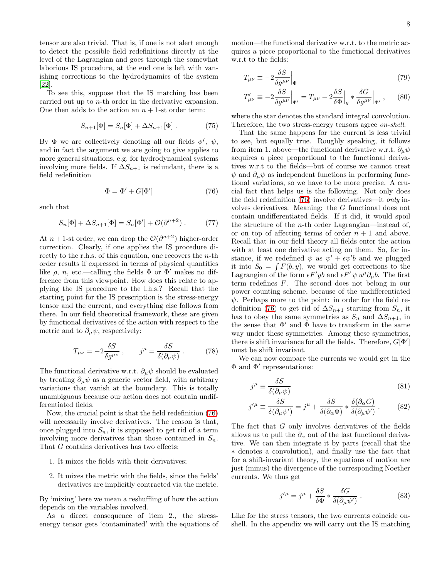tensor are also trivial. That is, if one is not alert enough to detect the possible field redefinitions directly at the level of the Lagrangian and goes through the somewhat laborious IS procedure, at the end one is left with vanishing corrections to the hydrodynamics of the system [\[22\]](#page-9-14).

To see this, suppose that the IS matching has been carried out up to n-th order in the derivative expansion. One then adds to the action an  $n + 1$ -st order term:

$$
S_{n+1}[\Phi] = S_n[\Phi] + \Delta S_{n+1}[\Phi] . \tag{75}
$$

By  $\Phi$  we are collectively denoting all our fields  $\phi^I$ ,  $\psi$ , and in fact the argument we are going to give applies to more general situations, e.g. for hydrodynamical systems involving more fields. If  $\Delta S_{n+1}$  is redundant, there is a field redefinition

<span id="page-7-0"></span>
$$
\Phi = \Phi' + G[\Phi'] \tag{76}
$$

such that

$$
S_n[\Phi] + \Delta S_{n+1}[\Phi] = S_n[\Phi'] + \mathcal{O}(\partial^{n+2}).
$$
 (77)

At  $n+1$ -st order, we can drop the  $\mathcal{O}(\partial^{n+2})$  higher-order correction. Clearly, if one applies the IS procedure directly to the r.h.s. of this equation, one recovers the *n*-th order results if expressed in terms of physical quantities like  $\rho$ , n, etc.—calling the fields  $\Phi$  or  $\Phi'$  makes no difference from this viewpoint. How does this relate to applying the IS procedure to the l.h.s.? Recall that the starting point for the IS prescription is the stress-energy tensor and the current, and everything else follows from there. In our field theoretical framework, these are given by functional derivatives of the action with respect to the metric and to  $\partial_{\mu}\psi$ , respectively:

$$
T_{\mu\nu} = -2\frac{\delta S}{\delta g^{\mu\nu}} , \qquad j^{\mu} = \frac{\delta S}{\delta(\partial_{\mu}\psi)} . \tag{78}
$$

The functional derivative w.r.t.  $\partial_{\mu}\psi$  should be evaluated by treating  $\partial_{\mu}\psi$  as a generic vector field, with arbitrary variations that vanish at the boundary. This is totally unambiguous because our action does not contain undifferentiated fields.

Now, the crucial point is that the field redefinition [\(76\)](#page-7-0) will necessarily involve derivatives. The reason is that, once plugged into  $S_n$ , it is supposed to get rid of a term involving more derivatives than those contained in  $S_n$ . That G contains derivatives has two effects:

- 1. It mixes the fields with their derivatives;
- 2. It mixes the metric with the fields, since the fields' derivatives are implicitly contracted via the metric.

By 'mixing' here we mean a reshuffling of how the action depends on the variables involved.

As a direct consequence of item 2., the stressenergy tensor gets 'contaminated' with the equations of motion—the functional derivative w.r.t. to the metric acquires a piece proportional to the functional derivatives w.r.t to the fields:

$$
T_{\mu\nu} \equiv -2 \frac{\delta S}{\delta g^{\mu\nu}} \Big|_{\Phi} \tag{79}
$$

$$
T'_{\mu\nu} \equiv -2\frac{\delta S}{\delta g^{\mu\nu}}\Big|_{\Phi'} = T_{\mu\nu} - 2\frac{\delta S}{\delta \Phi}\Big|_{g} * \frac{\delta G}{\delta g^{\mu\nu}}\Big|_{\Phi'},\qquad(80)
$$

where the star denotes the standard integral convolution. Therefore, the two stress-energy tensors agree on-shell.

That the same happens for the current is less trivial to see, but equally true. Roughly speaking, it follows from item 1. above—the functional derivative w.r.t.  $\partial_{\mu}\psi$ acquires a piece proportional to the functional derivatives w.r.t to the fields—but of course we cannot treat  $\psi$  and  $\partial_{\mu}\psi$  as independent functions in performing functional variations, so we have to be more precise. A crucial fact that helps us is the following. Not only does the field redefinition [\(76\)](#page-7-0) involve derivatives—it only involves derivatives. Meaning: the G functional does not contain undifferentiated fields. If it did, it would spoil the structure of the *n*-th order Lagrangian—instead of, or on top of affecting terms of order  $n + 1$  and above. Recall that in our field theory all fields enter the action with at least one derivative acting on them. So, for instance, if we redefined  $\psi$  as  $\psi' + \epsilon \psi' b$  and we plugged it into  $S_0 = \int F(b, y)$ , we would get corrections to the Lagrangian of the form  $\epsilon F' y b$  and  $\epsilon F' \psi u^{\mu} \partial_{\mu} b$ . The first term redefines F. The second does not belong in our power counting scheme, because of the undifferentiated  $\psi$ . Perhaps more to the point: in order for the field re-definition [\(76\)](#page-7-0) to get rid of  $\Delta S_{n+1}$  starting from  $S_n$ , it has to obey the same symmetries as  $S_n$  and  $\Delta S_{n+1}$ , in the sense that  $\Phi'$  and  $\Phi$  have to transform in the same way under these symmetries. Among these symmetries, there is shift invariance for all the fields. Therefore,  $G[\Phi']$ must be shift invariant.

We can now compare the currents we would get in the Φ and Φ′ representations:

$$
j^{\mu} \equiv \frac{\delta S}{\delta(\partial_{\mu}\psi)}\tag{81}
$$

$$
j^{\prime \mu} \equiv \frac{\delta S}{\delta(\partial_{\mu} \psi^{\prime})} = j^{\mu} + \frac{\delta S}{\delta(\partial_{\alpha} \Phi)} * \frac{\delta(\partial_{\alpha} G)}{\delta(\partial_{\mu} \psi^{\prime})}.
$$
 (82)

The fact that  $G$  only involves derivatives of the fields allows us to pull the  $\partial_{\alpha}$  out of the last functional derivative. We can then integrate it by parts (recall that the ∗ denotes a convolution), and finally use the fact that for a shift-invariant theory, the equations of motion are just (minus) the divergence of the corresponding Noether currents. We thus get

$$
j^{\prime \mu} = j^{\mu} + \frac{\delta S}{\delta \Phi} * \frac{\delta G}{\delta (\partial_{\mu} \psi^{\prime})}.
$$
 (83)

Like for the stress tensors, the two currents coincide onshell. In the appendix we will carry out the IS matching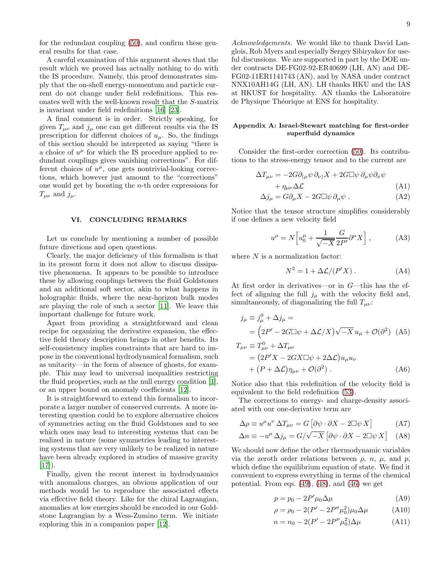A careful examination of this argument shows that the result which we proved has actually nothing to do with the IS procedure. Namely, this proof demonstrates simply that the on-shell energy-momentum and particle current do not change under field redefinitions. This resonates well with the well-known result that the S-matrix is invariant under field redefinitions [\[16\]](#page-9-15) [\[23\]](#page-9-16).

A final comment is in order. Strictly speaking, for given  $T_{\mu\nu}$  and  $j_{\mu}$  one can get different results via the IS prescription for different choices of  $u_{\mu}$ . So, the findings of this section should be interpreted as saying "there is a choice of  $u^{\mu}$  for which the IS procedure applied to redundant couplings gives vanishing corrections". For different choices of  $u^{\mu}$ , one gets nontrivial-looking corrections, which however just amount to the "corrections" one would get by boosting the n-th order expressions for  $T_{\mu\nu}$  and  $j_{\mu}$ .

### <span id="page-8-0"></span>VI. CONCLUDING REMARKS

Let us conclude by mentioning a number of possible future directions and open questions.

Clearly, the major deficiency of this formalism is that in its present form it does not allow to discuss dissipative phenomena. It appears to be possible to introduce these by allowing couplings between the fluid Goldstones and an additional soft sector, akin to what happens in holographic fluids, where the near-horizon bulk modes are playing the role of such a sector [\[11](#page-9-5)]. We leave this important challenge for future work.

Apart from providing a straightforward and clean recipe for organizing the derivative expansion, the effective field theory description brings in other benefits. Its self-consistency implies constraints that are hard to impose in the conventional hydrodynamical formalism, such as unitarity—in the form of absence of ghosts, for example. This may lead to universal inequalities restricting the fluid properties, such as the null energy condition [\[1\]](#page-9-0), or an upper bound on anomaly coefficients [\[12\]](#page-9-7).

It is straightforward to extend this formalism to incorporate a larger number of conserved currents. A more interesting question could be to explore alternative choices of symmetries acting on the fluid Goldstones and to see which ones may lead to interesting systems that can be realized in nature (some symmetries leading to interesting systems that are very unlikely to be realized in nature have been already explored in studies of massive gravity  $[17]$ .

Finally, given the recent interest in hydrodynamics with anomalous charges, an obvious application of our methods would be to reproduce the associated effects via effective field theory. Like for the chiral Lagrangian, anomalies at low energies should be encoded in our Goldstone Lagrangian by a Wess-Zumino term. We initiate exploring this in a companion paper [\[12\]](#page-9-7).

Acknowledgements. We would like to thank David Langlois, Rob Myers and especially Sergey Sibiryakov for useful discussions. We are supported in part by the DOE under contracts DE-FG02-92-ER40699 (LH, AN) and DE-FG02-11ER1141743 (AN), and by NASA under contract NNX10AH14G (LH, AN). LH thanks HKU and the IAS at HKUST for hospitality. AN thanks the Laboratoire de Physique Théorique at ENS for hospitality.

# Appendix A: Israel-Stewart matching for first-order superfluid dynamics

Consider the first-order correction [\(50\)](#page-5-3). Its contributions to the stress-energy tensor and to the current are

$$
\Delta T_{\mu\nu} = -2G\partial_{(\mu}\psi\,\partial_{\nu)}X + 2G\Box\psi\,\partial_{\mu}\psi\partial_{\nu}\psi
$$

$$
+ \eta_{\mu\nu}\Delta\mathcal{L}
$$
 (A1)

$$
\Delta j_{\mu} = G \partial_{\mu} X - 2G \Box \psi \, \partial_{\mu} \psi . \tag{A2}
$$

Notice that the tensor structure simplifies considerably if one defines a new velocity field

$$
u^{\mu} = N \left[ u_0^{\mu} + \frac{1}{\sqrt{-X}} \frac{G}{2P'} \partial^{\mu} X \right], \tag{A3}
$$

where  $N$  is a normalization factor:

$$
N^2 = 1 + \Delta \mathcal{L} / (P'X) . \tag{A4}
$$

At first order in derivatives—or in G—this has the effect of aligning the full  $j_{\mu}$  with the velocity field and, simultaneously, of diagonalizing the full  $T_{\mu\nu}$ :

$$
j_{\mu} \equiv j_{\mu}^{0} + \Delta j_{\mu} =
$$
  
=  $\left(2P' - 2G\Box\psi + \Delta\mathcal{L}/X\right)\sqrt{-X}u_{\mu} + \mathcal{O}(\partial^{2})$  (A5)

$$
T_{\mu\nu} \equiv T_{\mu\nu}^{0} + \Delta T_{\mu\nu}
$$
  
=  $(2P'X - 2GX\square\psi + 2\Delta\mathcal{L})u_{\mu}u_{\nu}$   
+  $(P + \Delta\mathcal{L})\eta_{\mu\nu} + \mathcal{O}(\partial^{2})$ . (A6)

Notice also that this redefinition of the velocity field is equivalent to the field redefinition [\(53\)](#page-5-4).

The corrections to energy- and charge-density associated with our one-derivative term are

$$
\Delta \rho \equiv u^{\mu} u^{\nu} \, \Delta T_{\mu \nu} = G \left[ \partial \psi \cdot \partial X - 2 \Box \psi \, X \right] \tag{A7}
$$

$$
\Delta n \equiv -u^{\mu} \Delta j_{\mu} = G/\sqrt{-X} \left[ \partial \psi \cdot \partial X - 2 \Box \psi X \right] \quad (A8)
$$

We should now define the other thermodynamic variables via the zeroth order relations between  $\rho$ ,  $n$ ,  $\mu$ , and  $p$ , which define the equilibrium equation of state. We find it convenient to express everything in terms of the chemical potential. From eqs.  $(49)$ ,  $(48)$ , and  $(46)$  we get

<span id="page-8-2"></span><span id="page-8-1"></span>
$$
p = p_0 - 2P'\mu_0\Delta\mu\tag{A9}
$$

$$
\rho = \rho_0 - 2(P' - 2P''\mu_0^2)\mu_0\Delta\mu
$$
 (A10)

$$
n = n_0 - 2(P' - 2P''\mu_0^2)\Delta\mu
$$
 (A11)